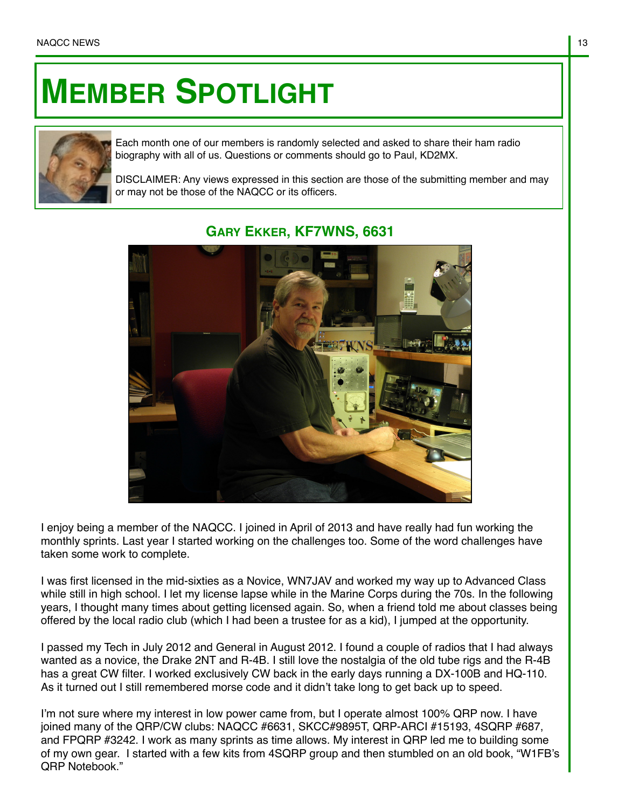## **MEMBER SPOTLIGHT**



Each month one of our members is randomly selected and asked to share their ham radio biography with all of us. Questions or comments should go to Paul, KD2MX.

DISCLAIMER: Any views expressed in this section are those of the submitting member and may or may not be those of the NAQCC or its officers.



## **GARY EKKER, KF7WNS, 6631**

I enjoy being a member of the NAQCC. I joined in April of 2013 and have really had fun working the monthly sprints. Last year I started working on the challenges too. Some of the word challenges have taken some work to complete.

I was first licensed in the mid-sixties as a Novice, WN7JAV and worked my way up to Advanced Class while still in high school. I let my license lapse while in the Marine Corps during the 70s. In the following years, I thought many times about getting licensed again. So, when a friend told me about classes being offered by the local radio club (which I had been a trustee for as a kid), I jumped at the opportunity.

I passed my Tech in July 2012 and General in August 2012. I found a couple of radios that I had always wanted as a novice, the Drake 2NT and R-4B. I still love the nostalgia of the old tube rigs and the R-4B has a great CW filter. I worked exclusively CW back in the early days running a DX-100B and HQ-110. As it turned out I still remembered morse code and it didn't take long to get back up to speed.

I'm not sure where my interest in low power came from, but I operate almost 100% QRP now. I have joined many of the QRP/CW clubs: NAQCC #6631, SKCC#9895T, QRP-ARCI #15193, 4SQRP #687, and FPQRP #3242. I work as many sprints as time allows. My interest in QRP led me to building some of my own gear. I started with a few kits from 4SQRP group and then stumbled on an old book, "W1FB's QRP Notebook."